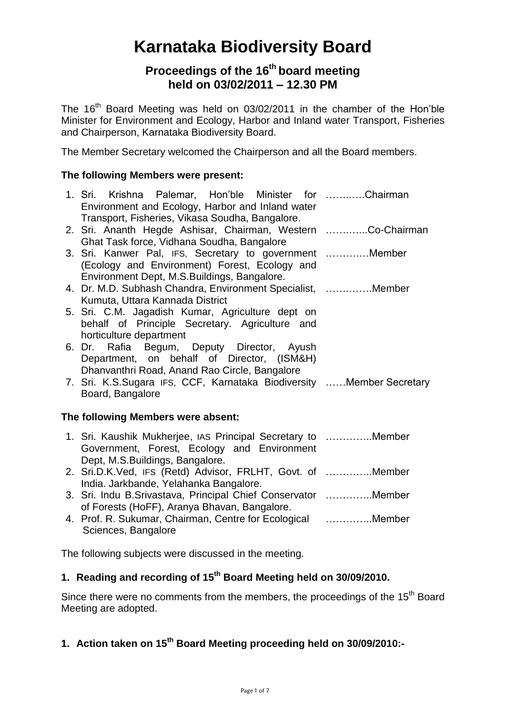# **Karnataka Biodiversity Board**

# **Proceedings of the 16 th board meeting held on 03/02/2011 – 12.30 PM**

The 16<sup>th</sup> Board Meeting was held on 03/02/2011 in the chamber of the Hon'ble Minister for Environment and Ecology, Harbor and Inland water Transport, Fisheries and Chairperson, Karnataka Biodiversity Board.

The Member Secretary welcomed the Chairperson and all the Board members.

# **The following Members were present:**

| 1. Sri. Krishna Palemar, Hon'ble Minister for Chairman<br>Environment and Ecology, Harbor and Inland water<br>Transport, Fisheries, Vikasa Soudha, Bangalore. |  |
|---------------------------------------------------------------------------------------------------------------------------------------------------------------|--|
| 2. Sri. Ananth Hegde Ashisar, Chairman, Western Co-Chairman<br>Ghat Task force, Vidhana Soudha, Bangalore                                                     |  |
| 3. Sri. Kanwer Pal, IFS, Secretary to government Member<br>(Ecology and Environment) Forest, Ecology and                                                      |  |
| Environment Dept, M.S. Buildings, Bangalore.<br>4. Dr. M.D. Subhash Chandra, Environment Specialist, Member<br>Kumuta, Uttara Kannada District                |  |
| 5. Sri. C.M. Jagadish Kumar, Agriculture dept on<br>behalf of Principle Secretary. Agriculture and<br>horticulture department                                 |  |
| 6. Dr. Rafia Begum, Deputy Director, Ayush<br>Department, on behalf of Director, (ISM&H)<br>Dhanvanthri Road, Anand Rao Circle, Bangalore                     |  |
| 7. Sri. K.S.Sugara IFS, CCF, Karnataka Biodiversity Member Secretary<br>Board, Bangalore                                                                      |  |
|                                                                                                                                                               |  |

# **The following Members were absent:**

| 1. Sri. Kaushik Mukherjee, IAS Principal Secretary to Member |        |
|--------------------------------------------------------------|--------|
| Government, Forest, Ecology and Environment                  |        |
| Dept, M.S. Buildings, Bangalore.                             |        |
| 2 Sri DK Ved IFS (Retd) Advisor FRIHT Govt of                | Mamhar |

- 2. Sri.D.K.Ved, IFS (Retd) Advisor, FRLHT, Govt. of …………..Member India. Jarkbande, Yelahanka Bangalore.
- 3. Sri. Indu B.Srivastava, Principal Chief Conservator …………..Member of Forests (HoFF), Aranya Bhavan, Bangalore.
- 4. Prof. R. Sukumar, Chairman, Centre for Ecological …………..Member Sciences, Bangalore

The following subjects were discussed in the meeting.

# **1. Reading and recording of 15 th Board Meeting held on 30/09/2010.**

Since there were no comments from the members, the proceedings of the 15<sup>th</sup> Board Meeting are adopted.

# **1. Action taken on 15 th Board Meeting proceeding held on 30/09/2010:-**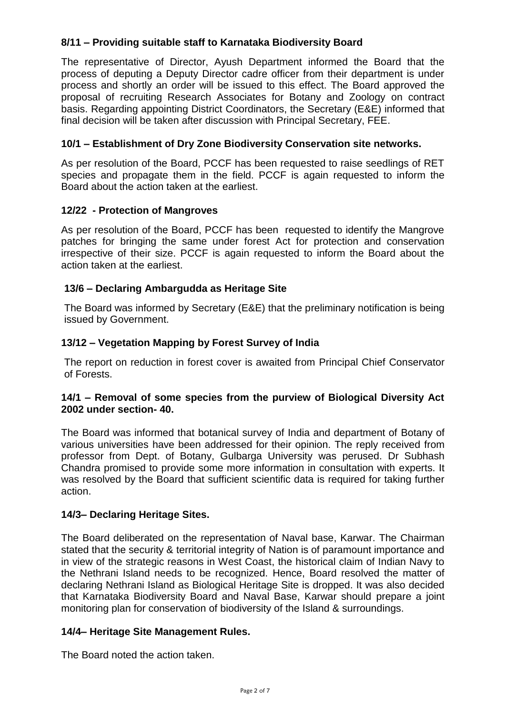# **8/11 – Providing suitable staff to Karnataka Biodiversity Board**

The representative of Director, Ayush Department informed the Board that the process of deputing a Deputy Director cadre officer from their department is under process and shortly an order will be issued to this effect. The Board approved the proposal of recruiting Research Associates for Botany and Zoology on contract basis. Regarding appointing District Coordinators, the Secretary (E&E) informed that final decision will be taken after discussion with Principal Secretary, FEE.

# **10/1 – Establishment of Dry Zone Biodiversity Conservation site networks.**

As per resolution of the Board, PCCF has been requested to raise seedlings of RET species and propagate them in the field. PCCF is again requested to inform the Board about the action taken at the earliest.

## **12/22 - Protection of Mangroves**

As per resolution of the Board, PCCF has been requested to identify the Mangrove patches for bringing the same under forest Act for protection and conservation irrespective of their size. PCCF is again requested to inform the Board about the action taken at the earliest.

## **13/6 – Declaring Ambargudda as Heritage Site**

The Board was informed by Secretary (E&E) that the preliminary notification is being issued by Government.

## **13/12 – Vegetation Mapping by Forest Survey of India**

The report on reduction in forest cover is awaited from Principal Chief Conservator of Forests.

#### **14/1 – Removal of some species from the purview of Biological Diversity Act 2002 under section- 40.**

The Board was informed that botanical survey of India and department of Botany of various universities have been addressed for their opinion. The reply received from professor from Dept. of Botany, Gulbarga University was perused. Dr Subhash Chandra promised to provide some more information in consultation with experts. It was resolved by the Board that sufficient scientific data is required for taking further action.

#### **14/3– Declaring Heritage Sites.**

The Board deliberated on the representation of Naval base, Karwar. The Chairman stated that the security & territorial integrity of Nation is of paramount importance and in view of the strategic reasons in West Coast, the historical claim of Indian Navy to the Nethrani Island needs to be recognized. Hence, Board resolved the matter of declaring Nethrani Island as Biological Heritage Site is dropped. It was also decided that Karnataka Biodiversity Board and Naval Base, Karwar should prepare a joint monitoring plan for conservation of biodiversity of the Island & surroundings.

#### **14/4– Heritage Site Management Rules.**

The Board noted the action taken.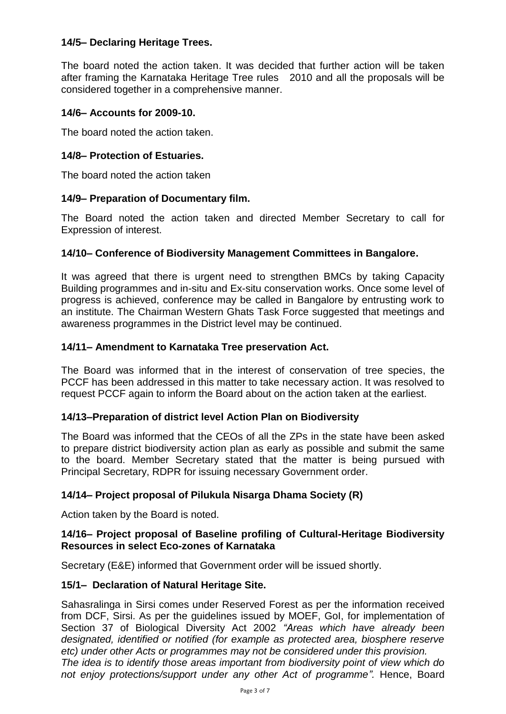## **14/5– Declaring Heritage Trees.**

The board noted the action taken. It was decided that further action will be taken after framing the Karnataka Heritage Tree rules 2010 and all the proposals will be considered together in a comprehensive manner.

#### **14/6– Accounts for 2009-10.**

The board noted the action taken.

#### **14/8– Protection of Estuaries.**

The board noted the action taken

#### **14/9– Preparation of Documentary film.**

The Board noted the action taken and directed Member Secretary to call for Expression of interest.

#### **14/10– Conference of Biodiversity Management Committees in Bangalore.**

It was agreed that there is urgent need to strengthen BMCs by taking Capacity Building programmes and in-situ and Ex-situ conservation works. Once some level of progress is achieved, conference may be called in Bangalore by entrusting work to an institute. The Chairman Western Ghats Task Force suggested that meetings and awareness programmes in the District level may be continued.

#### **14/11– Amendment to Karnataka Tree preservation Act.**

The Board was informed that in the interest of conservation of tree species, the PCCF has been addressed in this matter to take necessary action. It was resolved to request PCCF again to inform the Board about on the action taken at the earliest.

## **14/13–Preparation of district level Action Plan on Biodiversity**

The Board was informed that the CEOs of all the ZPs in the state have been asked to prepare district biodiversity action plan as early as possible and submit the same to the board. Member Secretary stated that the matter is being pursued with Principal Secretary, RDPR for issuing necessary Government order.

## **14/14– Project proposal of Pilukula Nisarga Dhama Society (R)**

Action taken by the Board is noted.

#### **14/16– Project proposal of Baseline profiling of Cultural-Heritage Biodiversity Resources in select Eco-zones of Karnataka**

Secretary (E&E) informed that Government order will be issued shortly.

#### **15/1– Declaration of Natural Heritage Site.**

Sahasralinga in Sirsi comes under Reserved Forest as per the information received from DCF, Sirsi. As per the guidelines issued by MOEF, GoI, for implementation of Section 37 of Biological Diversity Act 2002 *"Areas which have already been designated, identified or notified (for example as protected area, biosphere reserve etc) under other Acts or programmes may not be considered under this provision. The idea is to identify those areas important from biodiversity point of view which do not enjoy protections/support under any other Act of programme".* Hence, Board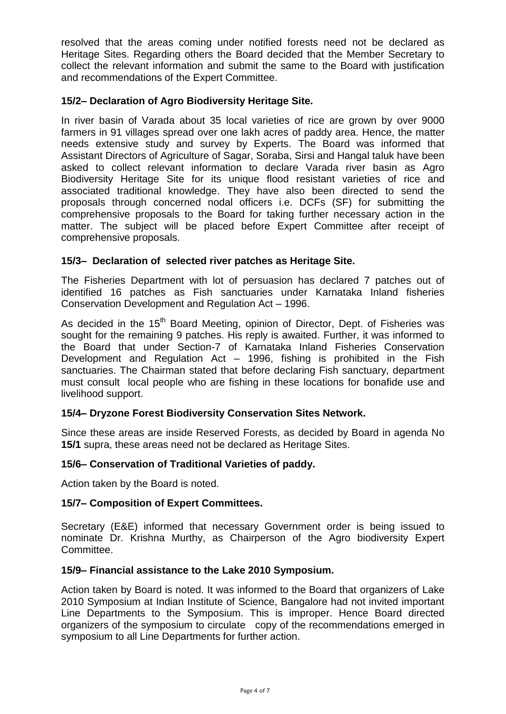resolved that the areas coming under notified forests need not be declared as Heritage Sites. Regarding others the Board decided that the Member Secretary to collect the relevant information and submit the same to the Board with justification and recommendations of the Expert Committee.

## **15/2– Declaration of Agro Biodiversity Heritage Site.**

In river basin of Varada about 35 local varieties of rice are grown by over 9000 farmers in 91 villages spread over one lakh acres of paddy area. Hence, the matter needs extensive study and survey by Experts. The Board was informed that Assistant Directors of Agriculture of Sagar, Soraba, Sirsi and Hangal taluk have been asked to collect relevant information to declare Varada river basin as Agro Biodiversity Heritage Site for its unique flood resistant varieties of rice and associated traditional knowledge. They have also been directed to send the proposals through concerned nodal officers i.e. DCFs (SF) for submitting the comprehensive proposals to the Board for taking further necessary action in the matter. The subject will be placed before Expert Committee after receipt of comprehensive proposals.

# **15/3– Declaration of selected river patches as Heritage Site.**

The Fisheries Department with lot of persuasion has declared 7 patches out of identified 16 patches as Fish sanctuaries under Karnataka Inland fisheries Conservation Development and Regulation Act – 1996.

As decided in the  $15<sup>th</sup>$  Board Meeting, opinion of Director, Dept. of Fisheries was sought for the remaining 9 patches. His reply is awaited. Further, it was informed to the Board that under Section-7 of Karnataka Inland Fisheries Conservation Development and Regulation Act – 1996, fishing is prohibited in the Fish sanctuaries. The Chairman stated that before declaring Fish sanctuary, department must consult local people who are fishing in these locations for bonafide use and livelihood support.

## **15/4– Dryzone Forest Biodiversity Conservation Sites Network.**

Since these areas are inside Reserved Forests, as decided by Board in agenda No **15/1** supra, these areas need not be declared as Heritage Sites.

## **15/6– Conservation of Traditional Varieties of paddy.**

Action taken by the Board is noted.

#### **15/7– Composition of Expert Committees.**

Secretary (E&E) informed that necessary Government order is being issued to nominate Dr. Krishna Murthy, as Chairperson of the Agro biodiversity Expert Committee.

#### **15/9– Financial assistance to the Lake 2010 Symposium.**

Action taken by Board is noted. It was informed to the Board that organizers of Lake 2010 Symposium at Indian Institute of Science, Bangalore had not invited important Line Departments to the Symposium. This is improper. Hence Board directed organizers of the symposium to circulate copy of the recommendations emerged in symposium to all Line Departments for further action.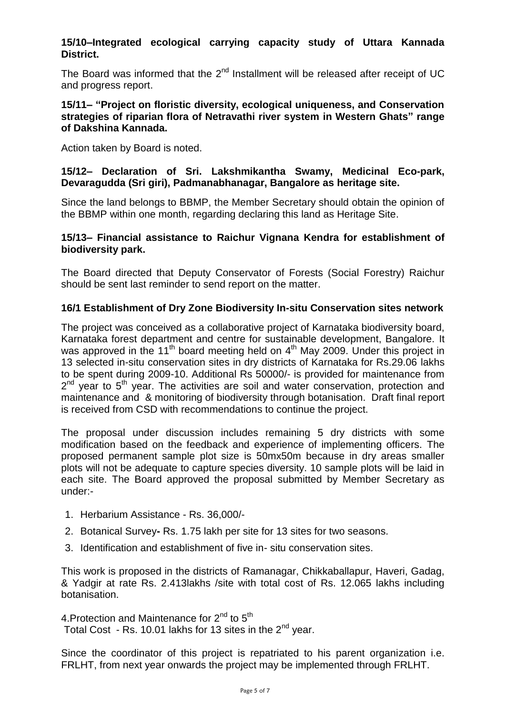## **15/10–Integrated ecological carrying capacity study of Uttara Kannada District.**

The Board was informed that the  $2^{nd}$  Installment will be released after receipt of UC and progress report.

#### **15/11– "Project on floristic diversity, ecological uniqueness, and Conservation strategies of riparian flora of Netravathi river system in Western Ghats" range of Dakshina Kannada.**

Action taken by Board is noted.

#### **15/12– Declaration of Sri. Lakshmikantha Swamy, Medicinal Eco-park, Devaragudda (Sri giri), Padmanabhanagar, Bangalore as heritage site.**

Since the land belongs to BBMP, the Member Secretary should obtain the opinion of the BBMP within one month, regarding declaring this land as Heritage Site.

#### **15/13– Financial assistance to Raichur Vignana Kendra for establishment of biodiversity park.**

The Board directed that Deputy Conservator of Forests (Social Forestry) Raichur should be sent last reminder to send report on the matter.

## **16/1 Establishment of Dry Zone Biodiversity In-situ Conservation sites network**

The project was conceived as a collaborative project of Karnataka biodiversity board, Karnataka forest department and centre for sustainable development, Bangalore. It was approved in the 11<sup>th</sup> board meeting held on  $4<sup>th</sup>$  May 2009. Under this project in 13 selected in-situ conservation sites in dry districts of Karnataka for Rs.29.06 lakhs to be spent during 2009-10. Additional Rs 50000/- is provided for maintenance from 2<sup>nd</sup> year to 5<sup>th</sup> year. The activities are soil and water conservation, protection and maintenance and & monitoring of biodiversity through botanisation. Draft final report is received from CSD with recommendations to continue the project.

The proposal under discussion includes remaining 5 dry districts with some modification based on the feedback and experience of implementing officers. The proposed permanent sample plot size is 50mx50m because in dry areas smaller plots will not be adequate to capture species diversity. 10 sample plots will be laid in each site. The Board approved the proposal submitted by Member Secretary as under:-

- 1. Herbarium Assistance Rs. 36,000/-
- 2. Botanical Survey**-** Rs. 1.75 lakh per site for 13 sites for two seasons.
- 3. Identification and establishment of five in- situ conservation sites.

This work is proposed in the districts of Ramanagar, Chikkaballapur, Haveri, Gadag, & Yadgir at rate Rs. 2.413lakhs /site with total cost of Rs. 12.065 lakhs including botanisation.

4. Protection and Maintenance for  $2^{nd}$  to  $5^{th}$ Total Cost - Rs. 10.01 lakhs for 13 sites in the  $2<sup>nd</sup>$  year.

Since the coordinator of this project is repatriated to his parent organization i.e. FRLHT, from next year onwards the project may be implemented through FRLHT.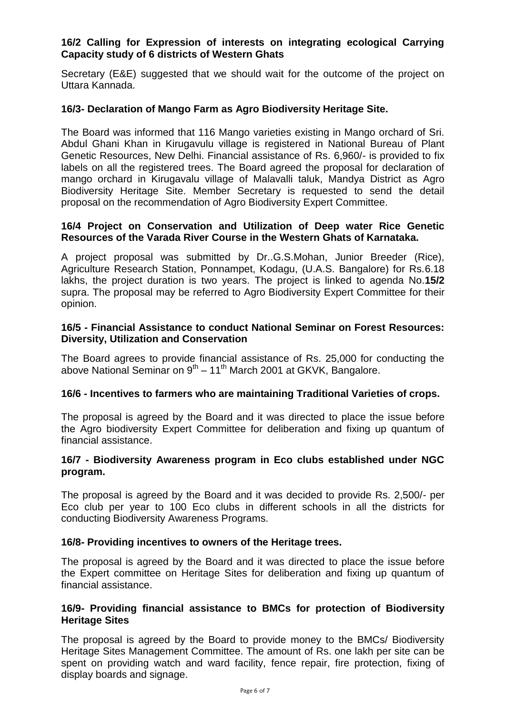## **16/2 Calling for Expression of interests on integrating ecological Carrying Capacity study of 6 districts of Western Ghats**

Secretary (E&E) suggested that we should wait for the outcome of the project on Uttara Kannada.

#### **16/3- Declaration of Mango Farm as Agro Biodiversity Heritage Site.**

The Board was informed that 116 Mango varieties existing in Mango orchard of Sri. Abdul Ghani Khan in Kirugavulu village is registered in National Bureau of Plant Genetic Resources, New Delhi. Financial assistance of Rs. 6,960/- is provided to fix labels on all the registered trees. The Board agreed the proposal for declaration of mango orchard in Kirugavalu village of Malavalli taluk, Mandya District as Agro Biodiversity Heritage Site. Member Secretary is requested to send the detail proposal on the recommendation of Agro Biodiversity Expert Committee.

#### **16/4 Project on Conservation and Utilization of Deep water Rice Genetic Resources of the Varada River Course in the Western Ghats of Karnataka.**

A project proposal was submitted by Dr..G.S.Mohan, Junior Breeder (Rice), Agriculture Research Station, Ponnampet, Kodagu, (U.A.S. Bangalore) for Rs.6.18 lakhs, the project duration is two years. The project is linked to agenda No.**15/2** supra. The proposal may be referred to Agro Biodiversity Expert Committee for their opinion.

#### **16/5 - Financial Assistance to conduct National Seminar on Forest Resources: Diversity, Utilization and Conservation**

The Board agrees to provide financial assistance of Rs. 25,000 for conducting the above National Seminar on 9<sup>th</sup> – 11<sup>th</sup> March 2001 at GKVK, Bangalore.

#### **16/6 - Incentives to farmers who are maintaining Traditional Varieties of crops.**

The proposal is agreed by the Board and it was directed to place the issue before the Agro biodiversity Expert Committee for deliberation and fixing up quantum of financial assistance.

#### **16/7 - Biodiversity Awareness program in Eco clubs established under NGC program.**

The proposal is agreed by the Board and it was decided to provide Rs. 2,500/- per Eco club per year to 100 Eco clubs in different schools in all the districts for conducting Biodiversity Awareness Programs.

#### **16/8- Providing incentives to owners of the Heritage trees.**

The proposal is agreed by the Board and it was directed to place the issue before the Expert committee on Heritage Sites for deliberation and fixing up quantum of financial assistance.

## **16/9- Providing financial assistance to BMCs for protection of Biodiversity Heritage Sites**

The proposal is agreed by the Board to provide money to the BMCs/ Biodiversity Heritage Sites Management Committee. The amount of Rs. one lakh per site can be spent on providing watch and ward facility, fence repair, fire protection, fixing of display boards and signage.